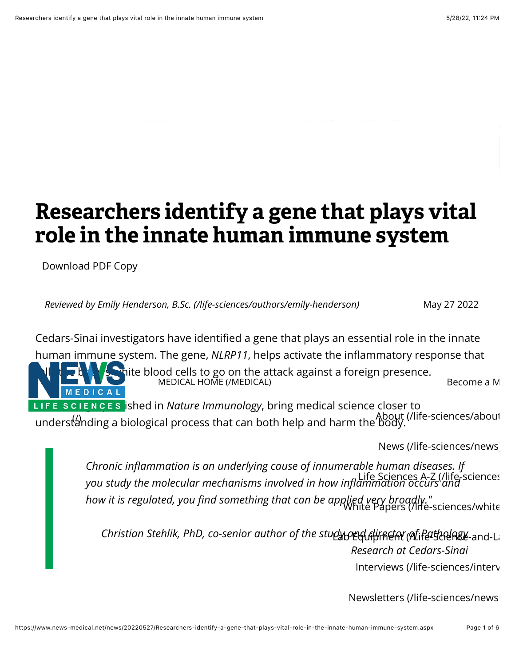# **Researchers identify a gene that plays vital role in the innate human immune system**

[Download](https://www.news-medical.net/news/20220527/Researchers-identify-a-gene-that-plays-vital-role-in-the-innate-human-immune-system.aspx#) PDF Copy

*Reviewed by [Emily Henderson, B.Sc. \(/life-sciences/authors/emily-henderson\)](https://www.news-medical.net/life-sciences/authors/emily-henderson)* May 27 2022

Cedars-Sinai investigators have identified a gene that plays an essential role in the innate human immune system. The gene, *NLRP11*, helps activate the inflammatory response that  $\mathbf{N}$  the body cells to go on the attack against a foreign presence. MEDICAL HOME (/MEDICAL) [Become a M](https://www.news-medical.net/azoprofile/login/) MEDICAL LIFE SCIENCES **ished in** *Nature Immunology*, bring medical science closer to understanding a bio[logical process that can both help and harm the body.](https://www.news-medical.net/life-sciences/about)

[News \(/life-sciences/news\)](https://www.news-medical.net/life-sciences/news)

*Chronic in![ammation is an underlying cause of innumerable human diseases. If](https://www.news-medical.net/life-sciences-a-z) you study the molecular mechanisms involved in how in!ammation occurs and* Life Sciences A-Z (/life-sciences-a-z) *how it is regulated, you "[nd something that can be applied very broadly."](https://www.news-medical.net/life-sciences/whitepapers)* White Papers (/life-sciences/whitepapers)

Christian Stehlik, PhD, co-senior author of the studអូ<u>ρμ</u>ભુભિાંજલહાં (ર્શાિનિવર્ધરાયેલિક્ષ્ટ-and-La *Research at Cedars-Sinai*

[Interviews \(/life-sciences/interv](https://www.news-medical.net/life-sciences/interviews)

Newsletters (/life-sciences/news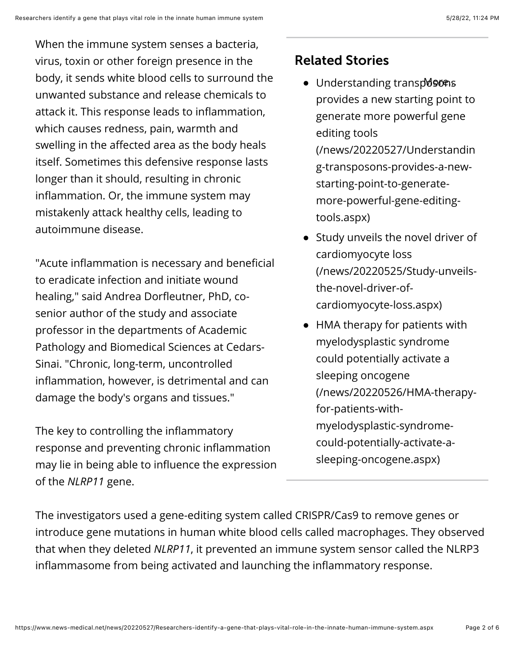When the immune system senses a bacteria, virus, toxin or other foreign presence in the body, it sends white blood cells to surround the unwanted substance and release chemicals to attack it. This response leads to inflammation, which causes redness, pain, warmth and swelling in the affected area as the body heals itself. Sometimes this defensive response lasts longer than it should, resulting in chronic inflammation. Or, the immune system may mistakenly attack healthy cells, leading to autoimmune disease.

"Acute inflammation is necessary and beneficial to eradicate infection and initiate wound healing," said Andrea Dorfleutner, PhD, cosenior author of the study and associate professor in the departments of Academic Pathology and Biomedical Sciences at Cedars-Sinai. "Chronic, long-term, uncontrolled inflammation, however, is detrimental and can damage the body's organs and tissues."

The key to controlling the inflammatory response and preventing chronic inflammation may lie in being able to influence the expression of the *NLRP11* gene.

## Related Stories

- Understanding transposons [provides a new starting point to](https://www.news-medical.net/news/20220527/Understanding-transposons-provides-a-new-starting-point-to-generate-more-powerful-gene-editing-tools.aspx) generate more powerful gene editing tools (/news/20220527/Understandin g-transposons-provides-a-newstarting-point-to-generatemore-powerful-gene-editingtools.aspx)
- Study unveils the novel driver of cardiomyocyte loss [\(/news/20220525/Study-unveils](https://www.news-medical.net/news/20220525/Study-unveils-the-novel-driver-of-cardiomyocyte-loss.aspx)the-novel-driver-ofcardiomyocyte-loss.aspx)
- HMA therapy for patients with myelodysplastic syndrome could potentially activate a sleeping oncogene [\(/news/20220526/HMA-therapy](https://www.news-medical.net/news/20220526/HMA-therapy-for-patients-with-myelodysplastic-syndrome-could-potentially-activate-a-sleeping-oncogene.aspx)for-patients-withmyelodysplastic-syndromecould-potentially-activate-asleeping-oncogene.aspx)

The investigators used a gene-editing system called CRISPR/Cas9 to remove genes or introduce gene mutations in human white blood cells called macrophages. They observed that when they deleted *NLRP11*, it prevented an immune system sensor called the NLRP3 inflammasome from being activated and launching the inflammatory response.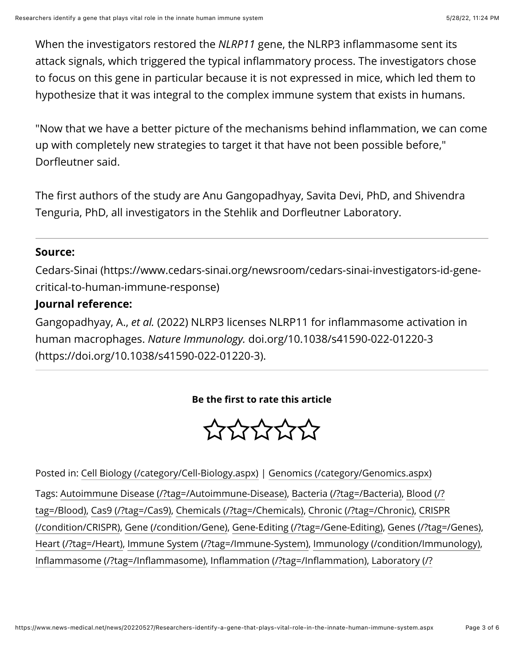When the investigators restored the *NLRP11* gene, the NLRP3 inflammasome sent its attack signals, which triggered the typical inflammatory process. The investigators chose to focus on this gene in particular because it is not expressed in mice, which led them to hypothesize that it was integral to the complex immune system that exists in humans.

"Now that we have a better picture of the mechanisms behind inflammation, we can come up with completely new strategies to target it that have not been possible before," Dorfleutner said.

The first authors of the study are Anu Gangopadhyay, Savita Devi, PhD, and Shivendra Tenguria, PhD, all investigators in the Stehlik and Dorfleutner Laboratory.

#### **Source:**

[Cedars-Sinai \(https://www.cedars-sinai.org/newsroom/cedars-sinai-investigators-id-gene](https://www.cedars-sinai.org/newsroom/cedars-sinai-investigators-id-gene-critical-to-human-immune-response)critical-to-human-immune-response)

## **Journal reference:**

Gangopadhyay, A., *et al.* (2022) NLRP3 licenses NLRP11 for inflammasome activation in human macrophages. *Nature Immunology.* doi.org/10.1038/s41590-022-01220-3 [\(https://doi.org/10.1038/s41590-022-01220-3\).](https://doi.org/10.1038/s41590-022-01220-3)

### **Be the !rst to rate this article**

777777

Posted in: [Cell Biology \(/category/Cell-Biology.aspx\)](https://www.news-medical.net/category/Cell-Biology.aspx) | [Genomics \(/category/Genomics.aspx\)](https://www.news-medical.net/category/Genomics.aspx) Tags: [Autoimmune Disease \(/?tag=/Autoimmune-Disease\)](https://www.news-medical.net/?tag=/Autoimmune-Disease), [Bacteria \(/?tag=/Bacteria\),](https://www.news-medical.net/?tag=/Bacteria) Blood (/? [tag=/Blood\), Cas9 \(/?tag=/Cas9\), Chemicals \(/?tag=/Chemicals\), Chronic \(/?tag=/Chronic\), CRISP](https://www.news-medical.net/?tag=/Blood)[R](https://www.news-medical.net/condition/CRISPR) (/condition/CRISPR), [Gene \(/condition/Gene\),](https://www.news-medical.net/condition/Gene) [Gene-Editing \(/?tag=/Gene-Editing\)](https://www.news-medical.net/?tag=/Gene-Editing), [Genes \(/?tag=/Genes\)](https://www.news-medical.net/?tag=/Genes), [Heart \(/?tag=/Heart\),](https://www.news-medical.net/?tag=/Heart) [Immune System \(/?tag=/Immune-System\),](https://www.news-medical.net/?tag=/Immune-System) [Immunology \(/condition/Immunology\)](https://www.news-medical.net/condition/Immunology), Infl[ammasome \(/?tag=/In](https://www.news-medical.net/?tag=/Inflammasome)flammasome), Infl[ammation \(/?tag=/In](https://www.news-medical.net/?tag=/Inflammation)fl[ammation\), Laboratory \(/?](https://www.news-medical.net/?tag=/Laboratory)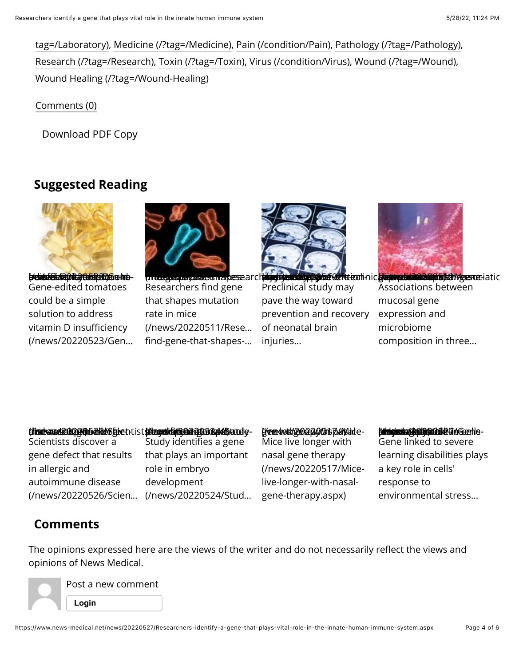[tag=/Laboratory\), Medicine \(/?tag=/Medicine\), Pain \(/condition/Pain\), Pathology \(/?tag=/Pat](https://www.news-medical.net/?tag=/Laboratory)[hology\)](https://www.news-medical.net/?tag=/Pathology), [Research \(/?tag=/Research\),](https://www.news-medical.net/?tag=/Research) [Toxin \(/?tag=/Toxin\),](https://www.news-medical.net/?tag=/Toxin) [Virus \(/condition/Virus\)](https://www.news-medical.net/condition/Virus), [Wound \(/?tag=/Wound\),](https://www.news-medical.net/?tag=/Wound) [Wound Healing \(/?tag=/Wound-Healing\)](https://www.news-medical.net/?tag=/Wound-Healing)

[Comments \(0\)](#page-3-0)

[Download](https://www.news-medical.net/news/20220527/Researchers-identify-a-gene-that-plays-vital-role-in-the-innate-human-immune-system.aspx#) PDF Copy

## **Suggested Reading**

<span id="page-3-0"></span>

(order edited and be-a-simple-to-address-vitamin-Gene-edited tomatoes could be a simple solution to address vitamin D insufficiency [\(/news/20220523/Gen…](https://www.news-medical.net/news/20220523/Gene-edited-tomatoes-could-be-a-simple-solution-to-address-vitamin-D-insufficiency.aspx)



(/news/202206/20220511/Researchers- including that in a please architecture Researchers find gene that shapes mutation rate in mice [\(/news/20220511/Rese…](https://www.news-medical.net/news/20220511/Researchers-find-gene-that-shapes-mutation-rate-in-mice.aspx) find-gene-that-shapes-...



Preclinical study may pave the way toward [prevention and recovery](https://www.news-medical.net/news/20220519/Preclinical-study-may-pave-the-way-toward-prevention-and-recovery-of-neonatal-brain-injuries.aspx) of neonatal brain injuries…



**turghyeur as a graph of Ad Futeoninic graph published a Bibliother Control at ic** Associations between mucosal gene expression and microbiome [composition in three…](https://www.news-medical.net/news/20220519/Associations-between-mucosal-gene-expression-and-microbiome-composition-in-three-gastrointestinal-disorders.aspx)

#### (**/insebease420234)52/Gba/Gb/Sfgie**thtist**(d/lagoslifi(c3/Gb24)05364/dfbtutel**y-

Scientists discover a gene defect that results in allergic and autoimmune disease

[\(/news/20220526/Scien…](https://www.news-medical.net/news/20220526/Scientists-discover-a-gene-defect-that-results-in-allergic-and-autoimmune-disease.aspx) [\(/news/20220524/Stud…](https://www.news-medical.net/news/20220524/Study-identifies-a-gene-that-plays-an-important-role-in-embryo-development.aspx) Study identifies a gene that plays an important role in embryo development

#### (/news/20220517/Mice- live-longer-with-nasal- gene-therapy.aspx)

Mice live longer with nasal gene therapy [\(/news/20220517/Mice](https://www.news-medical.net/news/20220517/Mice-live-longer-with-nasal-gene-therapy.aspx)live-longer-with-nasalgene-therapy.aspx)

## **(indextoin-to-sepere-to-se-to-se-to-se-to-se-to-se-to-se-to-se-to-se-to-se-to-se-**<br>Environmental-stress.aspx

gastrointestinal-[learning disabilities plays](https://www.news-medical.net/news/20220527/Gene-linked-to-severe-learning-disabilities-plays-a-key-role-in-cells-response-to-environmental-stress.aspx) discorders.<br>Discorders in del Gene linked to severe a key role in cells' response to environmental stress…

## **Comments**

The opinions expressed here are the views of the writer and do not necessarily reflect the views and opinions of News Medical.

Post a new comment **[Login](https://www.news-medical.net/news/20220527/Researchers-identify-a-gene-that-plays-vital-role-in-the-innate-human-immune-system.aspx#)**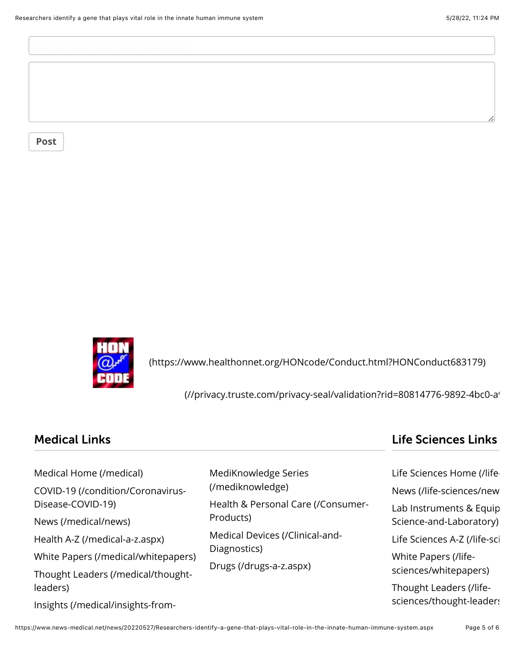**[Post](https://www.news-medical.net/news/20220527/Researchers-identify-a-gene-that-plays-vital-role-in-the-innate-human-immune-system.aspx#)**



 [\(https://www.healthonnet.org/HONcode/Conduct.html?HONConduct683179\)](https://www.healthonnet.org/HONcode/Conduct.html?HONConduct683179)

(//privacy.truste.com/privacy-seal/validation?rid=80814776-9892-4bc0-a!

| <b>Medical Links</b>                |                                                                                                                                                                                                   | <b>Life Sciences Links</b>                         |
|-------------------------------------|---------------------------------------------------------------------------------------------------------------------------------------------------------------------------------------------------|----------------------------------------------------|
| Medical Home (/medical)             | MediKnowledge Series<br>(/mediknowledge)<br>Health & Personal Care (/Consumer-<br>Products)<br>Medical Devices (/Clinical-and-<br>Diagnostics)<br>White Papers (/life-<br>Drugs (/drugs-a-z.aspx) | Life Sciences Home (/life-                         |
| COVID-19 (/condition/Coronavirus-   |                                                                                                                                                                                                   | News (/life-sciences/new                           |
| Disease-COVID-19)                   |                                                                                                                                                                                                   | Lab Instruments & Equip<br>Science-and-Laboratory) |
| News (/medical/news)                |                                                                                                                                                                                                   |                                                    |
| Health A-Z (/medical-a-z.aspx)      |                                                                                                                                                                                                   | Life Sciences A-Z (/life-sci                       |
| White Papers (/medical/whitepapers) |                                                                                                                                                                                                   | sciences/whitepapers)                              |
| Thought Leaders (/medical/thought-  |                                                                                                                                                                                                   |                                                    |

[Thought Leaders \(/medical/thought](https://www.news-medical.net/medical/thought-leaders)leaders)

[Insights \(/medical/insights-from-](https://www.news-medical.net/medical/insights-from-industry)

https://www.news-medical.net/news/20220527/Researchers-identify-a-gene-that-plays-vital-role-in-the-innate-human-immune-system.aspx Page 5 of 6

Thought Leaders (/life[sciences/thought-leaders](https://www.news-medical.net/life-sciences/thought-leaders))